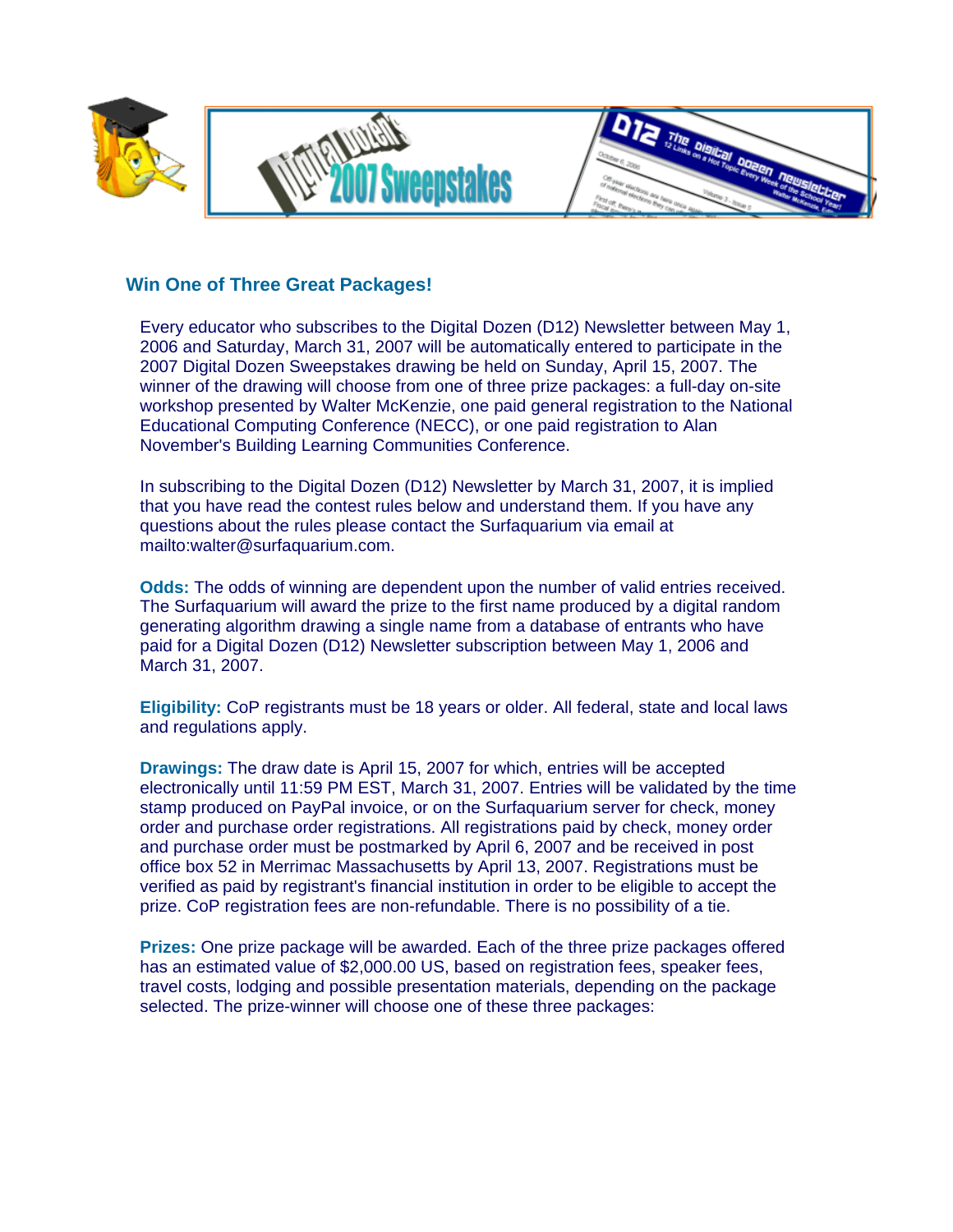

## **Win One of Three Great Packages!**

Every educator who subscribes to the Digital Dozen (D12) Newsletter between May 1, 2006 and Saturday, March 31, 2007 will be automatically entered to participate in the 2007 Digital Dozen Sweepstakes drawing be held on Sunday, April 15, 2007. The winner of the drawing will choose from one of three prize packages: a full-day on-site workshop presented by Walter McKenzie, one paid general registration to the National Educational Computing Conference (NECC), or one paid registration to Alan November's Building Learning Communities Conference.

In subscribing to the Digital Dozen (D12) Newsletter by March 31, 2007, it is implied that you have read the contest rules below and understand them. If you have any questions about the rules please contact the Surfaquarium via email at mailto:walter@surfaquarium.com.

**Odds:** The odds of winning are dependent upon the number of valid entries received. The Surfaquarium will award the prize to the first name produced by a digital random generating algorithm drawing a single name from a database of entrants who have paid for a Digital Dozen (D12) Newsletter subscription between May 1, 2006 and March 31, 2007.

**Eligibility:** CoP registrants must be 18 years or older. All federal, state and local laws and regulations apply.

**Drawings:** The draw date is April 15, 2007 for which, entries will be accepted electronically until 11:59 PM EST, March 31, 2007. Entries will be validated by the time stamp produced on PayPal invoice, or on the Surfaquarium server for check, money order and purchase order registrations. All registrations paid by check, money order and purchase order must be postmarked by April 6, 2007 and be received in post office box 52 in Merrimac Massachusetts by April 13, 2007. Registrations must be verified as paid by registrant's financial institution in order to be eligible to accept the prize. CoP registration fees are non-refundable. There is no possibility of a tie.

**Prizes:** One prize package will be awarded. Each of the three prize packages offered has an estimated value of \$2,000.00 US, based on registration fees, speaker fees, travel costs, lodging and possible presentation materials, depending on the package selected. The prize-winner will choose one of these three packages: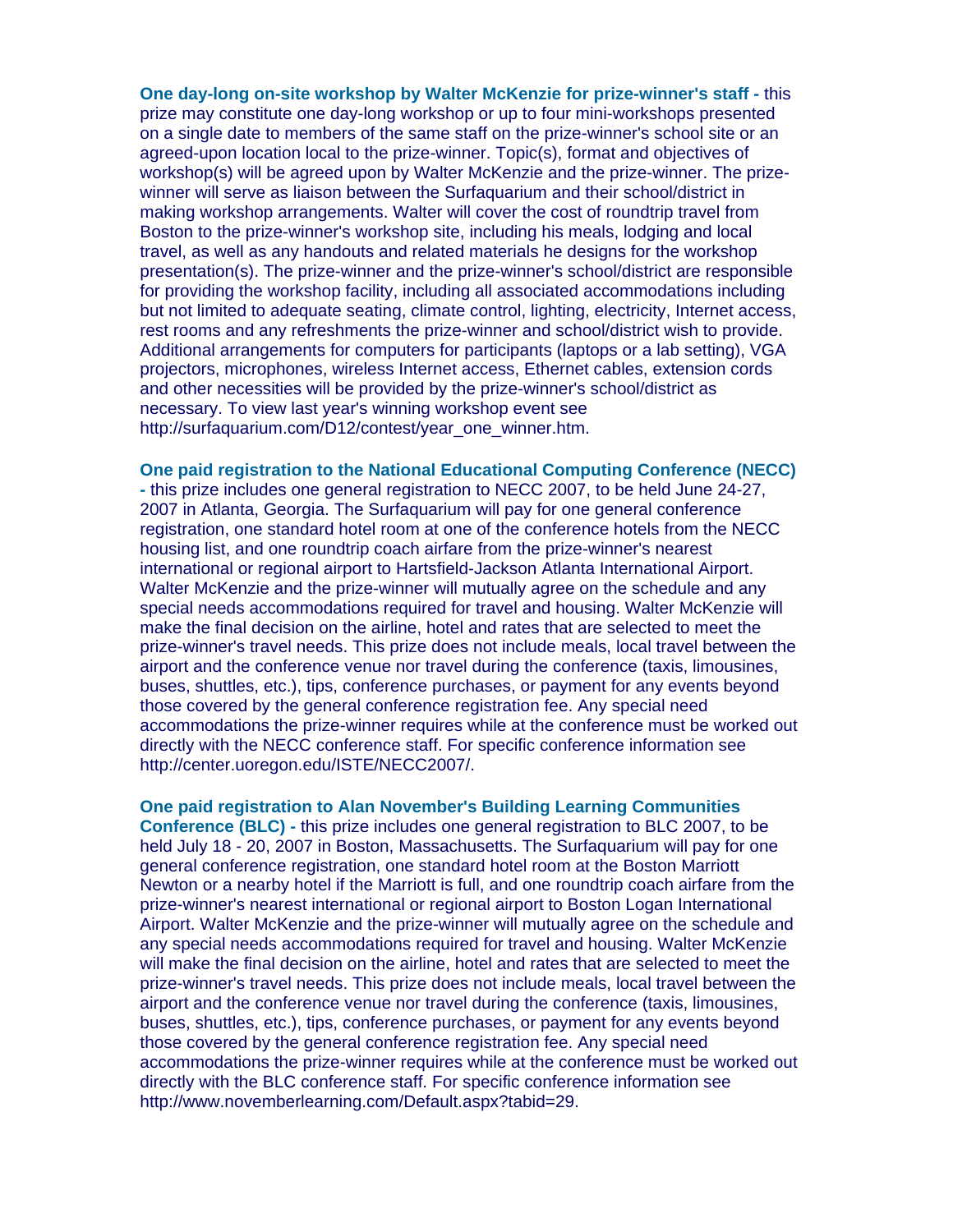**One day-long on-site workshop by Walter McKenzie for prize-winner's staff -** this prize may constitute one day-long workshop or up to four mini-workshops presented on a single date to members of the same staff on the prize-winner's school site or an agreed-upon location local to the prize-winner. Topic(s), format and objectives of workshop(s) will be agreed upon by Walter McKenzie and the prize-winner. The prizewinner will serve as liaison between the Surfaquarium and their school/district in making workshop arrangements. Walter will cover the cost of roundtrip travel from Boston to the prize-winner's workshop site, including his meals, lodging and local travel, as well as any handouts and related materials he designs for the workshop presentation(s). The prize-winner and the prize-winner's school/district are responsible for providing the workshop facility, including all associated accommodations including but not limited to adequate seating, climate control, lighting, electricity, Internet access, rest rooms and any refreshments the prize-winner and school/district wish to provide. Additional arrangements for computers for participants (laptops or a lab setting), VGA projectors, microphones, wireless Internet access, Ethernet cables, extension cords and other necessities will be provided by the prize-winner's school/district as necessary. To view last year's winning workshop event see http://surfaquarium.com/D12/contest/year\_one\_winner.htm.

**One paid registration to the National Educational Computing Conference (NECC) -** this prize includes one general registration to NECC 2007, to be held June 24-27, 2007 in Atlanta, Georgia. The Surfaquarium will pay for one general conference registration, one standard hotel room at one of the conference hotels from the NECC housing list, and one roundtrip coach airfare from the prize-winner's nearest international or regional airport to Hartsfield-Jackson Atlanta International Airport. Walter McKenzie and the prize-winner will mutually agree on the schedule and any special needs accommodations required for travel and housing. Walter McKenzie will make the final decision on the airline, hotel and rates that are selected to meet the prize-winner's travel needs. This prize does not include meals, local travel between the airport and the conference venue nor travel during the conference (taxis, limousines, buses, shuttles, etc.), tips, conference purchases, or payment for any events beyond those covered by the general conference registration fee. Any special need accommodations the prize-winner requires while at the conference must be worked out directly with the NECC conference staff. For specific conference information see http://center.uoregon.edu/ISTE/NECC2007/.

**One paid registration to Alan November's Building Learning Communities Conference (BLC) -** this prize includes one general registration to BLC 2007, to be held July 18 - 20, 2007 in Boston, Massachusetts. The Surfaquarium will pay for one general conference registration, one standard hotel room at the Boston Marriott Newton or a nearby hotel if the Marriott is full, and one roundtrip coach airfare from the prize-winner's nearest international or regional airport to Boston Logan International Airport. Walter McKenzie and the prize-winner will mutually agree on the schedule and any special needs accommodations required for travel and housing. Walter McKenzie will make the final decision on the airline, hotel and rates that are selected to meet the prize-winner's travel needs. This prize does not include meals, local travel between the airport and the conference venue nor travel during the conference (taxis, limousines, buses, shuttles, etc.), tips, conference purchases, or payment for any events beyond those covered by the general conference registration fee. Any special need accommodations the prize-winner requires while at the conference must be worked out directly with the BLC conference staff. For specific conference information see http://www.novemberlearning.com/Default.aspx?tabid=29.